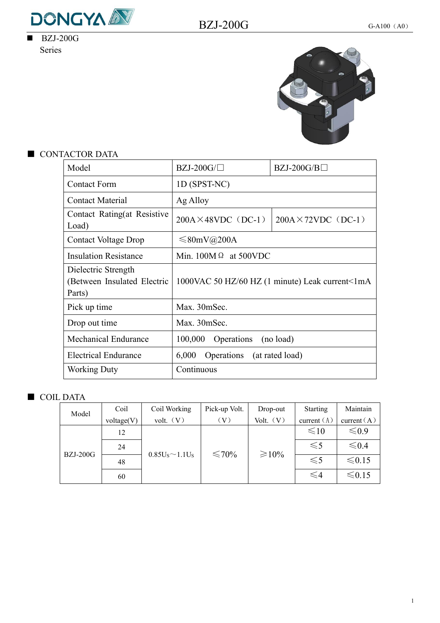

 $\overline{\text{BZJ-200G}}$ Series



## ■ CONTACTOR DATA

| Model                                                        | $BZJ-200G/\Box$                    | $BZJ-200G/B\square$                             |
|--------------------------------------------------------------|------------------------------------|-------------------------------------------------|
| <b>Contact Form</b>                                          | 1D (SPST-NC)                       |                                                 |
| <b>Contact Material</b>                                      | Ag Alloy                           |                                                 |
| Contact Rating(at Resistive<br>Load)                         | $200A \times 48VDC$ (DC-1)         | $200A \times 72VDC$ (DC-1)                      |
| <b>Contact Voltage Drop</b>                                  | $\leq 80$ mV@200A                  |                                                 |
| <b>Insulation Resistance</b>                                 | Min. $100M \Omega$ at 500VDC       |                                                 |
| Dielectric Strength<br>(Between Insulated Electric<br>Parts) |                                    | 1000VAC 50 HZ/60 HZ (1 minute) Leak current<1mA |
| Pick up time                                                 | Max. 30mSec.                       |                                                 |
| Drop out time                                                | Max. 30mSec.                       |                                                 |
| <b>Mechanical Endurance</b>                                  | 100,000<br>Operations<br>(no load) |                                                 |
| <b>Electrical Endurance</b>                                  | 6,000<br>Operations                | (at rated load)                                 |
| <b>Working Duty</b>                                          | Continuous                         |                                                 |

## ■ COIL DATA

| Model           | Coil       | Coil Working                          | Pick-up Volt. | Drop-out    | Starting      | Maintain      |
|-----------------|------------|---------------------------------------|---------------|-------------|---------------|---------------|
|                 | voltage(V) | volt. (V)                             | $\rm(V)$      | Volt. (V)   | current $(A)$ | current $(A)$ |
|                 | 12         | 0.85U <sub>s</sub> ~1.1U <sub>s</sub> | ≤70%          | $\geq 10\%$ | $\leq 10$     | $\leq 0.9$    |
|                 | 24         |                                       |               |             | $\leq 5$      | ≤ 0.4         |
| <b>BZJ-200G</b> | 48         |                                       |               |             | $\leq 5$      | $≤0.15$       |
|                 | 60         |                                       |               |             | ≤4            | $≤0.15$       |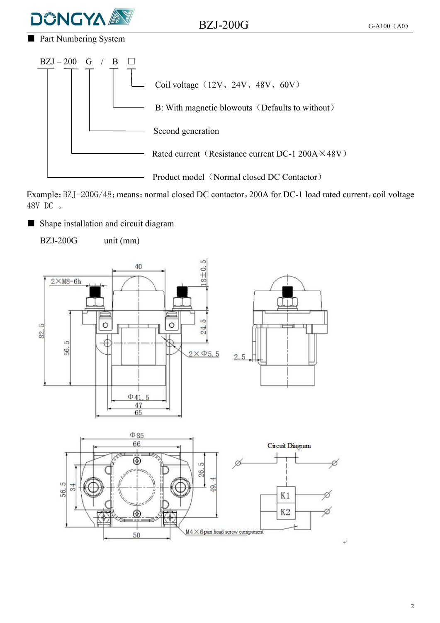

 $BZJ-200G$  G-A100 (A0)

■ Part Numbering System



Example: BZJ-200G/48; means: normal closed DC contactor, 200A for DC-1 load rated current, coil voltage 48V DC 。

■ Shape installation and circuit diagram

BZJ-200G unit (mm)